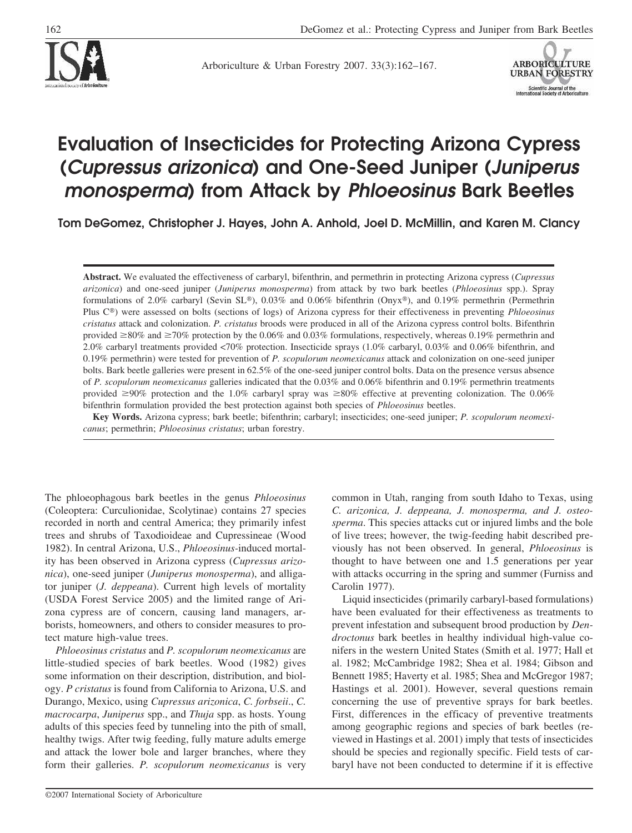

Arboriculture & Urban Forestry 2007. 33(3):162–167.



# **Evaluation of Insecticides for Protecting Arizona Cypress (***Cupressus arizonica***) and One-Seed Juniper (***Juniperus monosperma***) from Attack by** *Phloeosinus* **Bark Beetles**

**Tom DeGomez, Christopher J. Hayes, John A. Anhold, Joel D. McMillin, and Karen M. Clancy**

**Abstract.** We evaluated the effectiveness of carbaryl, bifenthrin, and permethrin in protecting Arizona cypress (*Cupressus arizonica*) and one-seed juniper (*Juniperus monosperma*) from attack by two bark beetles (*Phloeosinus* spp.). Spray formulations of 2.0% carbaryl (Sevin SL®), 0.03% and 0.06% bifenthrin (Onyx®), and 0.19% permethrin (Permethrin Plus C) were assessed on bolts (sections of logs) of Arizona cypress for their effectiveness in preventing *Phloeosinus cristatus* attack and colonization. *P. cristatus* broods were produced in all of the Arizona cypress control bolts. Bifenthrin provided  $\geq 80\%$  and  $\geq 70\%$  protection by the 0.06% and 0.03% formulations, respectively, whereas 0.19% permethrin and 2.0% carbaryl treatments provided <70% protection. Insecticide sprays (1.0% carbaryl, 0.03% and 0.06% bifenthrin, and 0.19% permethrin) were tested for prevention of *P. scopulorum neomexicanus* attack and colonization on one-seed juniper bolts. Bark beetle galleries were present in 62.5% of the one-seed juniper control bolts. Data on the presence versus absence of *P. scopulorum neomexicanus* galleries indicated that the 0.03% and 0.06% bifenthrin and 0.19% permethrin treatments provided  $\geq 90\%$  protection and the 1.0% carbaryl spray was  $\geq 80\%$  effective at preventing colonization. The 0.06% bifenthrin formulation provided the best protection against both species of *Phloeosinus* beetles.

**Key Words.** Arizona cypress; bark beetle; bifenthrin; carbaryl; insecticides; one-seed juniper; *P. scopulorum neomexicanus*; permethrin; *Phloeosinus cristatus*; urban forestry.

The phloeophagous bark beetles in the genus *Phloeosinus* (Coleoptera: Curculionidae, Scolytinae) contains 27 species recorded in north and central America; they primarily infest trees and shrubs of Taxodioideae and Cupressineae (Wood 1982). In central Arizona, U.S., *Phloeosinus-*induced mortality has been observed in Arizona cypress (*Cupressus arizonica*), one-seed juniper (*Juniperus monosperma*), and alligator juniper (*J. deppeana*). Current high levels of mortality (USDA Forest Service 2005) and the limited range of Arizona cypress are of concern, causing land managers, arborists, homeowners, and others to consider measures to protect mature high-value trees.

*Phloeosinus cristatus* and *P. scopulorum neomexicanus* are little-studied species of bark beetles. Wood (1982) gives some information on their description, distribution, and biology. *P cristatus* is found from California to Arizona, U.S. and Durango, Mexico, using *Cupressus arizonica*, *C. forbseii*., *C. macrocarpa*, *Juniperus* spp., and *Thuja* spp. as hosts. Young adults of this species feed by tunneling into the pith of small, healthy twigs. After twig feeding, fully mature adults emerge and attack the lower bole and larger branches, where they form their galleries. *P. scopulorum neomexicanus* is very

common in Utah, ranging from south Idaho to Texas, using *C. arizonica, J. deppeana, J. monosperma, and J. osteosperma*. This species attacks cut or injured limbs and the bole of live trees; however, the twig-feeding habit described previously has not been observed. In general, *Phloeosinus* is thought to have between one and 1.5 generations per year with attacks occurring in the spring and summer (Furniss and Carolin 1977).

Liquid insecticides (primarily carbaryl-based formulations) have been evaluated for their effectiveness as treatments to prevent infestation and subsequent brood production by *Dendroctonus* bark beetles in healthy individual high-value conifers in the western United States (Smith et al. 1977; Hall et al. 1982; McCambridge 1982; Shea et al. 1984; Gibson and Bennett 1985; Haverty et al. 1985; Shea and McGregor 1987; Hastings et al. 2001). However, several questions remain concerning the use of preventive sprays for bark beetles. First, differences in the efficacy of preventive treatments among geographic regions and species of bark beetles (reviewed in Hastings et al. 2001) imply that tests of insecticides should be species and regionally specific. Field tests of carbaryl have not been conducted to determine if it is effective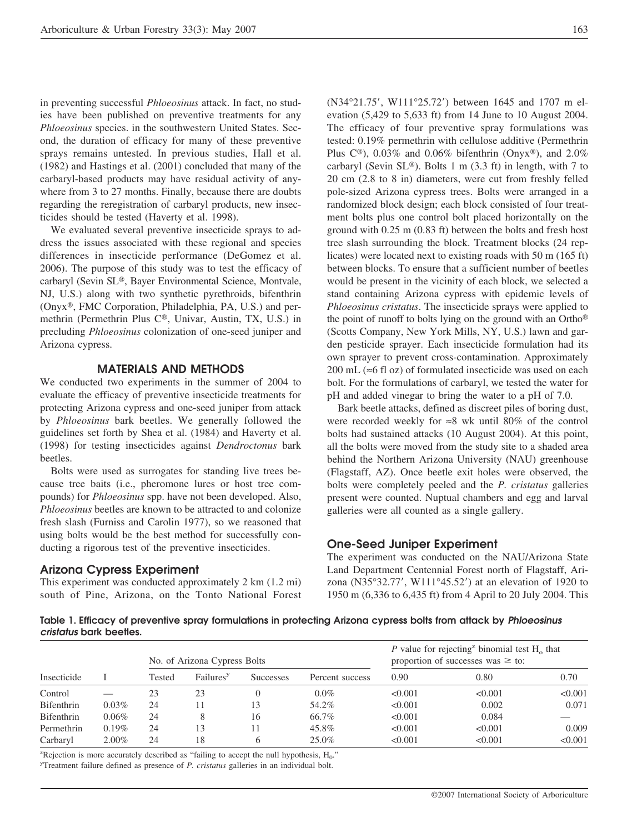in preventing successful *Phloeosinus* attack. In fact, no studies have been published on preventive treatments for any *Phloeosinus* species. in the southwestern United States. Second, the duration of efficacy for many of these preventive sprays remains untested. In previous studies, Hall et al. (1982) and Hastings et al. (2001) concluded that many of the carbaryl-based products may have residual activity of anywhere from 3 to 27 months. Finally, because there are doubts regarding the reregistration of carbaryl products, new insecticides should be tested (Haverty et al. 1998).

We evaluated several preventive insecticide sprays to address the issues associated with these regional and species differences in insecticide performance (DeGomez et al. 2006). The purpose of this study was to test the efficacy of carbaryl (Sevin SL®, Bayer Environmental Science, Montvale, NJ, U.S.) along with two synthetic pyrethroids, bifenthrin (Onyx®, FMC Corporation, Philadelphia, PA, U.S.) and permethrin (Permethrin Plus C®, Univar, Austin, TX, U.S.) in precluding *Phloeosinus* colonization of one-seed juniper and Arizona cypress.

#### **MATERIALS AND METHODS**

We conducted two experiments in the summer of 2004 to evaluate the efficacy of preventive insecticide treatments for protecting Arizona cypress and one-seed juniper from attack by *Phloeosinus* bark beetles. We generally followed the guidelines set forth by Shea et al. (1984) and Haverty et al. (1998) for testing insecticides against *Dendroctonus* bark beetles.

Bolts were used as surrogates for standing live trees because tree baits (i.e., pheromone lures or host tree compounds) for *Phloeosinus* spp. have not been developed. Also, *Phloeosinus* beetles are known to be attracted to and colonize fresh slash (Furniss and Carolin 1977), so we reasoned that using bolts would be the best method for successfully conducting a rigorous test of the preventive insecticides.

#### **Arizona Cypress Experiment**

This experiment was conducted approximately 2 km (1.2 mi) south of Pine, Arizona, on the Tonto National Forest

(N34°21.75', W111°25.72') between 1645 and 1707 m elevation (5,429 to 5,633 ft) from 14 June to 10 August 2004. The efficacy of four preventive spray formulations was tested: 0.19% permethrin with cellulose additive (Permethrin Plus  $C^{\circledast}$ ), 0.03% and 0.06% bifenthrin (Onyx<sup>®</sup>), and 2.0% carbaryl (Sevin  $SL<sup>®</sup>$ ). Bolts 1 m (3.3 ft) in length, with 7 to 20 cm (2.8 to 8 in) diameters, were cut from freshly felled pole-sized Arizona cypress trees. Bolts were arranged in a randomized block design; each block consisted of four treatment bolts plus one control bolt placed horizontally on the ground with 0.25 m (0.83 ft) between the bolts and fresh host tree slash surrounding the block. Treatment blocks (24 replicates) were located next to existing roads with 50 m (165 ft) between blocks. To ensure that a sufficient number of beetles would be present in the vicinity of each block, we selected a stand containing Arizona cypress with epidemic levels of *Phloeosinus cristatus*. The insecticide sprays were applied to the point of runoff to bolts lying on the ground with an Ortho (Scotts Company, New York Mills, NY, U.S.) lawn and garden pesticide sprayer. Each insecticide formulation had its own sprayer to prevent cross-contamination. Approximately 200 mL (≈6 fl oz) of formulated insecticide was used on each bolt. For the formulations of carbaryl, we tested the water for pH and added vinegar to bring the water to a pH of 7.0.

Bark beetle attacks, defined as discreet piles of boring dust, were recorded weekly for ≈8 wk until 80% of the control bolts had sustained attacks (10 August 2004). At this point, all the bolts were moved from the study site to a shaded area behind the Northern Arizona University (NAU) greenhouse (Flagstaff, AZ). Once beetle exit holes were observed, the bolts were completely peeled and the *P. cristatus* galleries present were counted. Nuptual chambers and egg and larval galleries were all counted as a single gallery.

#### **One-Seed Juniper Experiment**

The experiment was conducted on the NAU/Arizona State Land Department Centennial Forest north of Flagstaff, Arizona (N35°32.77', W111°45.52') at an elevation of 1920 to 1950 m (6,336 to 6,435 ft) from 4 April to 20 July 2004. This

**Table 1. Efficacy of preventive spray formulations in protecting Arizona cypress bolts from attack by** *Phloeosinus cristatus* **bark beetles.**

| Insecticide |          | No. of Arizona Cypress Bolts |                       |                  |                 | P value for rejecting binomial test $H_0$ that<br>proportion of successes was $\geq$ to: |         |         |
|-------------|----------|------------------------------|-----------------------|------------------|-----------------|------------------------------------------------------------------------------------------|---------|---------|
|             |          | Tested                       | Failures <sup>y</sup> | <b>Successes</b> | Percent success | 0.90                                                                                     | 0.80    | 0.70    |
| Control     |          | 23                           | 23                    |                  | $0.0\%$         | < 0.001                                                                                  | < 0.001 | < 0.001 |
| Bifenthrin  | 0.03%    | 24                           | $\overline{1}$        | 13               | 54.2%           | < 0.001                                                                                  | 0.002   | 0.071   |
| Bifenthrin  | $0.06\%$ | 24                           | 8                     | 16               | 66.7%           | < 0.001                                                                                  | 0.084   |         |
| Permethrin  | 0.19%    | 24                           | 13                    | 11               | 45.8%           | < 0.001                                                                                  | < 0.001 | 0.009   |
| Carbaryl    | $2.00\%$ | 24                           | 18                    | 6                | $25.0\%$        | < 0.001                                                                                  | < 0.001 | < 0.001 |

Expection is more accurately described as "failing to accept the null hypothesis,  $H_0$ ."<br>Treatment failure defined as presence of *P* cristatus galleries in an individual bolt

Treatment failure defined as presence of *P. cristatus* galleries in an individual bolt.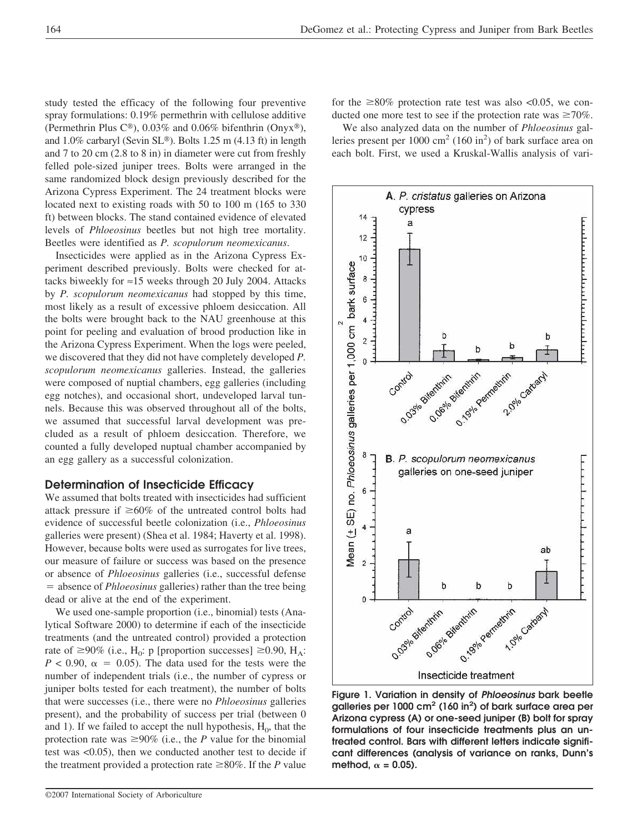study tested the efficacy of the following four preventive spray formulations: 0.19% permethrin with cellulose additive (Permethrin Plus  $C^{\circledast}$ ), 0.03% and 0.06% bifenthrin (Onyx<sup>®</sup>), and  $1.0\%$  carbaryl (Sevin SL®). Bolts 1.25 m (4.13 ft) in length and 7 to 20 cm (2.8 to 8 in) in diameter were cut from freshly felled pole-sized juniper trees. Bolts were arranged in the same randomized block design previously described for the Arizona Cypress Experiment. The 24 treatment blocks were located next to existing roads with 50 to 100 m (165 to 330 ft) between blocks. The stand contained evidence of elevated levels of *Phloeosinus* beetles but not high tree mortality. Beetles were identified as *P. scopulorum neomexicanus*.

Insecticides were applied as in the Arizona Cypress Experiment described previously. Bolts were checked for attacks biweekly for  $\approx$ 15 weeks through 20 July 2004. Attacks by *P. scopulorum neomexicanus* had stopped by this time, most likely as a result of excessive phloem desiccation. All the bolts were brought back to the NAU greenhouse at this point for peeling and evaluation of brood production like in the Arizona Cypress Experiment. When the logs were peeled, we discovered that they did not have completely developed *P. scopulorum neomexicanus* galleries. Instead, the galleries were composed of nuptial chambers, egg galleries (including egg notches), and occasional short, undeveloped larval tunnels. Because this was observed throughout all of the bolts, we assumed that successful larval development was precluded as a result of phloem desiccation. Therefore, we counted a fully developed nuptual chamber accompanied by an egg gallery as a successful colonization.

## **Determination of Insecticide Efficacy**

We assumed that bolts treated with insecticides had sufficient attack pressure if  $\geq 60\%$  of the untreated control bolts had evidence of successful beetle colonization (i.e., *Phloeosinus* galleries were present) (Shea et al. 1984; Haverty et al. 1998). However, because bolts were used as surrogates for live trees, our measure of failure or success was based on the presence or absence of *Phloeosinus* galleries (i.e., successful defense absence of *Phloeosinus* galleries) rather than the tree being dead or alive at the end of the experiment.

We used one-sample proportion (i.e., binomial) tests (Analytical Software 2000) to determine if each of the insecticide treatments (and the untreated control) provided a protection rate of  $\geq$ 90% (i.e., H<sub>0</sub>: p [proportion successes]  $\geq$ 0.90, H<sub>A</sub>:  $P < 0.90$ ,  $\alpha = 0.05$ ). The data used for the tests were the number of independent trials (i.e., the number of cypress or juniper bolts tested for each treatment), the number of bolts that were successes (i.e., there were no *Phloeosinus* galleries present), and the probability of success per trial (between 0 and 1). If we failed to accept the null hypothesis,  $H_0$ , that the protection rate was  $\geq 90\%$  (i.e., the *P* value for the binomial test was <0.05), then we conducted another test to decide if the treatment provided a protection rate  $\geq 80\%$ . If the *P* value

©2007 International Society of Arboriculture

for the  $\geq 80\%$  protection rate test was also <0.05, we conducted one more test to see if the protection rate was  $\geq 70\%$ .

We also analyzed data on the number of *Phloeosinus* galleries present per  $1000 \text{ cm}^2$  (160 in<sup>2</sup>) of bark surface area on each bolt. First, we used a Kruskal-Wallis analysis of vari-



**Figure 1. Variation in density of** *Phloeosinus* **bark beetle galleries per 1000 cm2 (160 in2 ) of bark surface area per Arizona cypress (A) or one-seed juniper (B) bolt for spray formulations of four insecticide treatments plus an untreated control. Bars with different letters indicate significant differences (analysis of variance on ranks, Dunn's** method,  $\alpha = 0.05$ ).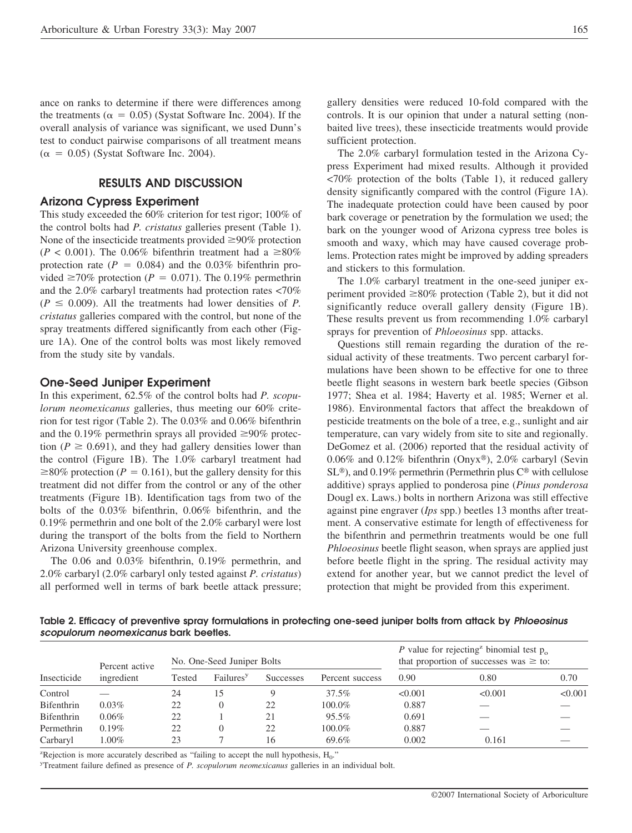ance on ranks to determine if there were differences among the treatments ( $\alpha = 0.05$ ) (Systat Software Inc. 2004). If the overall analysis of variance was significant, we used Dunn's test to conduct pairwise comparisons of all treatment means  $(\alpha = 0.05)$  (Systat Software Inc. 2004).

## **RESULTS AND DISCUSSION**

## **Arizona Cypress Experiment**

This study exceeded the 60% criterion for test rigor; 100% of the control bolts had *P. cristatus* galleries present (Table 1). None of the insecticide treatments provided  $\geq 90\%$  protection  $(P < 0.001)$ . The 0.06% bifenthrin treatment had a  $\geq 80\%$ protection rate  $(P = 0.084)$  and the 0.03% bifenthrin provided  $\geq 70\%$  protection (*P* = 0.071). The 0.19% permethrin and the 2.0% carbaryl treatments had protection rates <70%  $(P \le 0.009)$ . All the treatments had lower densities of *P*. *cristatus* galleries compared with the control, but none of the spray treatments differed significantly from each other (Figure 1A). One of the control bolts was most likely removed from the study site by vandals.

#### **One-Seed Juniper Experiment**

In this experiment, 62.5% of the control bolts had *P. scopulorum neomexicanus* galleries, thus meeting our 60% criterion for test rigor (Table 2). The 0.03% and 0.06% bifenthrin and the 0.19% permethrin sprays all provided  $\geq$ 90% protection ( $P \ge 0.691$ ), and they had gallery densities lower than the control (Figure 1B). The 1.0% carbaryl treatment had  $\geq$ 80% protection (*P* = 0.161), but the gallery density for this treatment did not differ from the control or any of the other treatments (Figure 1B). Identification tags from two of the bolts of the 0.03% bifenthrin, 0.06% bifenthrin, and the 0.19% permethrin and one bolt of the 2.0% carbaryl were lost during the transport of the bolts from the field to Northern Arizona University greenhouse complex.

The 0.06 and 0.03% bifenthrin, 0.19% permethrin, and 2.0% carbaryl (2.0% carbaryl only tested against *P. cristatus*) all performed well in terms of bark beetle attack pressure; gallery densities were reduced 10-fold compared with the controls. It is our opinion that under a natural setting (nonbaited live trees), these insecticide treatments would provide sufficient protection.

The 2.0% carbaryl formulation tested in the Arizona Cypress Experiment had mixed results. Although it provided <70% protection of the bolts (Table 1), it reduced gallery density significantly compared with the control (Figure 1A). The inadequate protection could have been caused by poor bark coverage or penetration by the formulation we used; the bark on the younger wood of Arizona cypress tree boles is smooth and waxy, which may have caused coverage problems. Protection rates might be improved by adding spreaders and stickers to this formulation.

The 1.0% carbaryl treatment in the one-seed juniper experiment provided  $\geq 80\%$  protection (Table 2), but it did not significantly reduce overall gallery density (Figure 1B). These results prevent us from recommending 1.0% carbaryl sprays for prevention of *Phloeosinus* spp. attacks.

Questions still remain regarding the duration of the residual activity of these treatments. Two percent carbaryl formulations have been shown to be effective for one to three beetle flight seasons in western bark beetle species (Gibson 1977; Shea et al. 1984; Haverty et al. 1985; Werner et al. 1986). Environmental factors that affect the breakdown of pesticide treatments on the bole of a tree, e.g., sunlight and air temperature, can vary widely from site to site and regionally. DeGomez et al. (2006) reported that the residual activity of 0.06% and 0.12% bifenthrin (Onyx®), 2.0% carbaryl (Sevin  $SL<sup>®</sup>$ ), and 0.19% permethrin (Permethrin plus  $C<sup>®</sup>$  with cellulose additive) sprays applied to ponderosa pine (*Pinus ponderosa* Dougl ex. Laws.) bolts in northern Arizona was still effective against pine engraver (*Ips* spp.) beetles 13 months after treatment. A conservative estimate for length of effectiveness for the bifenthrin and permethrin treatments would be one full *Phloeosinus* beetle flight season, when sprays are applied just before beetle flight in the spring. The residual activity may extend for another year, but we cannot predict the level of protection that might be provided from this experiment.

**Table 2. Efficacy of preventive spray formulations in protecting one-seed juniper bolts from attack by** *Phloeosinus scopulorum neomexicanus* **bark beetles.**

| Insecticide | Percent active | No. One-Seed Juniper Bolts |                       |                  |                 | P value for rejecting <sup>2</sup> binomial test $p_{0}$<br>that proportion of successes was $\geq$ to: |         |         |
|-------------|----------------|----------------------------|-----------------------|------------------|-----------------|---------------------------------------------------------------------------------------------------------|---------|---------|
|             | ingredient     | Tested                     | Failures <sup>y</sup> | <b>Successes</b> | Percent success | 0.90                                                                                                    | 0.80    | 0.70    |
| Control     |                | 24                         | 15                    |                  | $37.5\%$        | < 0.001                                                                                                 | < 0.001 | < 0.001 |
| Bifenthrin  | $0.03\%$       | 22                         |                       | 22               | 100.0%          | 0.887                                                                                                   |         |         |
| Bifenthrin  | $0.06\%$       | 22                         |                       | 21               | $95.5\%$        | 0.691                                                                                                   |         |         |
| Permethrin  | $0.19\%$       | 22                         |                       | 22               | 100.0%          | 0.887                                                                                                   |         |         |
| Carbaryl    | $.00\%$        | 23                         |                       | 16               | 69.6%           | 0.002                                                                                                   | 0.161   |         |

Expection is more accurately described as "failing to accept the null hypothesis,  $H_0$ ."<br>Treatment failure defined as presence of P, sconularum neomericanus galleries in an

Treatment failure defined as presence of *P. scopulorum neomexicanus* galleries in an individual bolt.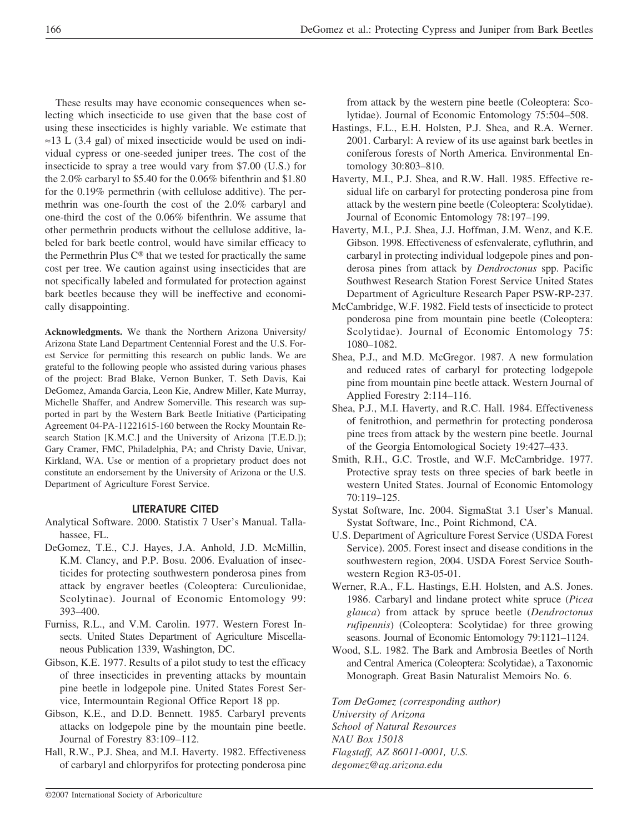These results may have economic consequences when selecting which insecticide to use given that the base cost of using these insecticides is highly variable. We estimate that  $\approx$ 13 L (3.4 gal) of mixed insecticide would be used on individual cypress or one-seeded juniper trees. The cost of the insecticide to spray a tree would vary from \$7.00 (U.S.) for the 2.0% carbaryl to \$5.40 for the 0.06% bifenthrin and \$1.80 for the 0.19% permethrin (with cellulose additive). The permethrin was one-fourth the cost of the 2.0% carbaryl and one-third the cost of the 0.06% bifenthrin. We assume that other permethrin products without the cellulose additive, labeled for bark beetle control, would have similar efficacy to the Permethrin Plus  $C^{\circledast}$  that we tested for practically the same cost per tree. We caution against using insecticides that are not specifically labeled and formulated for protection against bark beetles because they will be ineffective and economically disappointing.

**Acknowledgments.** We thank the Northern Arizona University/ Arizona State Land Department Centennial Forest and the U.S. Forest Service for permitting this research on public lands. We are grateful to the following people who assisted during various phases of the project: Brad Blake, Vernon Bunker, T. Seth Davis, Kai DeGomez, Amanda Garcia, Leon Kie, Andrew Miller, Kate Murray, Michelle Shaffer, and Andrew Somerville. This research was supported in part by the Western Bark Beetle Initiative (Participating Agreement 04-PA-11221615-160 between the Rocky Mountain Research Station [K.M.C.] and the University of Arizona [T.E.D.]); Gary Cramer, FMC, Philadelphia, PA; and Christy Davie, Univar, Kirkland, WA. Use or mention of a proprietary product does not constitute an endorsement by the University of Arizona or the U.S. Department of Agriculture Forest Service.

## **LITERATURE CITED**

- Analytical Software. 2000. Statistix 7 User's Manual. Tallahassee, FL.
- DeGomez, T.E., C.J. Hayes, J.A. Anhold, J.D. McMillin, K.M. Clancy, and P.P. Bosu. 2006. Evaluation of insecticides for protecting southwestern ponderosa pines from attack by engraver beetles (Coleoptera: Curculionidae, Scolytinae). Journal of Economic Entomology 99: 393–400.
- Furniss, R.L., and V.M. Carolin. 1977. Western Forest Insects. United States Department of Agriculture Miscellaneous Publication 1339, Washington, DC.
- Gibson, K.E. 1977. Results of a pilot study to test the efficacy of three insecticides in preventing attacks by mountain pine beetle in lodgepole pine. United States Forest Service, Intermountain Regional Office Report 18 pp.
- Gibson, K.E., and D.D. Bennett. 1985. Carbaryl prevents attacks on lodgepole pine by the mountain pine beetle. Journal of Forestry 83:109–112.
- Hall, R.W., P.J. Shea, and M.I. Haverty. 1982. Effectiveness of carbaryl and chlorpyrifos for protecting ponderosa pine

from attack by the western pine beetle (Coleoptera: Scolytidae). Journal of Economic Entomology 75:504–508.

- Hastings, F.L., E.H. Holsten, P.J. Shea, and R.A. Werner. 2001. Carbaryl: A review of its use against bark beetles in coniferous forests of North America. Environmental Entomology 30:803–810.
- Haverty, M.I., P.J. Shea, and R.W. Hall. 1985. Effective residual life on carbaryl for protecting ponderosa pine from attack by the western pine beetle (Coleoptera: Scolytidae). Journal of Economic Entomology 78:197–199.
- Haverty, M.I., P.J. Shea, J.J. Hoffman, J.M. Wenz, and K.E. Gibson. 1998. Effectiveness of esfenvalerate, cyfluthrin, and carbaryl in protecting individual lodgepole pines and ponderosa pines from attack by *Dendroctonus* spp. Pacific Southwest Research Station Forest Service United States Department of Agriculture Research Paper PSW-RP-237.
- McCambridge, W.F. 1982. Field tests of insecticide to protect ponderosa pine from mountain pine beetle (Coleoptera: Scolytidae). Journal of Economic Entomology 75: 1080–1082.
- Shea, P.J., and M.D. McGregor. 1987. A new formulation and reduced rates of carbaryl for protecting lodgepole pine from mountain pine beetle attack. Western Journal of Applied Forestry 2:114–116.
- Shea, P.J., M.I. Haverty, and R.C. Hall. 1984. Effectiveness of fenitrothion, and permethrin for protecting ponderosa pine trees from attack by the western pine beetle. Journal of the Georgia Entomological Society 19:427–433.
- Smith, R.H., G.C. Trostle, and W.F. McCambridge. 1977. Protective spray tests on three species of bark beetle in western United States. Journal of Economic Entomology 70:119–125.
- Systat Software, Inc. 2004. SigmaStat 3.1 User's Manual. Systat Software, Inc., Point Richmond, CA.
- U.S. Department of Agriculture Forest Service (USDA Forest Service). 2005. Forest insect and disease conditions in the southwestern region, 2004. USDA Forest Service Southwestern Region R3-05-01.
- Werner, R.A., F.L. Hastings, E.H. Holsten, and A.S. Jones. 1986. Carbaryl and lindane protect white spruce (*Picea glauca*) from attack by spruce beetle (*Dendroctonus rufipennis*) (Coleoptera: Scolytidae) for three growing seasons. Journal of Economic Entomology 79:1121–1124.
- Wood, S.L. 1982. The Bark and Ambrosia Beetles of North and Central America (Coleoptera: Scolytidae), a Taxonomic Monograph. Great Basin Naturalist Memoirs No. 6.

*Tom DeGomez (corresponding author) University of Arizona School of Natural Resources NAU Box 15018 Flagstaff, AZ 86011-0001, U.S. degomez@ag.arizona.edu*